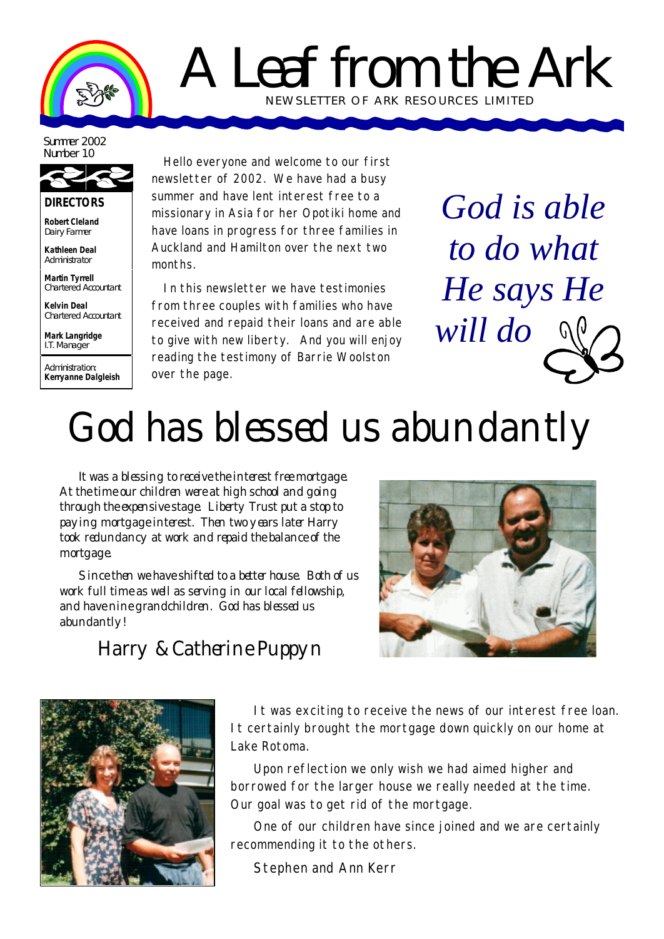

## A Leaf from the Ark NEWSLETTER OF ARK RE SOURCES LIMITED

Summer 2002 Number 10



**DIRECTORS**

**Robert Cleland** Dairy Farmer

**Kathleen Deal** Administrator

**Martin Tyrrell** Chartered Accountant

**Kelvin Deal** Chartered Accountant

**Mark Langridge** I.T. Manager

Administration: **Kerryanne Dalgleish**

Hello everyone and welcome to our first newsletter of 2002. We have had a busy summer and have lent interest free to a missionary in Asia for her Opotiki home and have loans in progress for three families in Auckland and Hamilton over the next two months.

In this newsletter we have testimonies from three couples with families who have received and repaid their loans and are able to give with new liberty. And you will enjoy reading the testimony of Barrie Woolston over the page.

*God is able to do what He says He will do*

## God has blessed us abundantly

It was a blessing to receive the interest free mortgage. At the time our children were at high school and going through the expensive stage. Liberty Trust put a stop to paying mortgage interest. Then two years later Harry took redundancy at work and repaid the balance of the mortgage.

Since then we have shifted to a better house. Both of us work full time as well as serving in our local fellowship, and have nine grandchildren. God has blessed us abundantly!



## Harry & Catherine Puppyn



It was exciting to receive the news of our interest free loan. It certainly brought the mortgage down quickly on our home at Lake Rotoma.

Upon reflection we only wish we had aimed higher and borrowed for the larger house we really needed at the time. Our goal was to get rid of the mortgage.

One of our children have since joined and we are certainly recommending it to the others.

Stephen and Ann Kerr